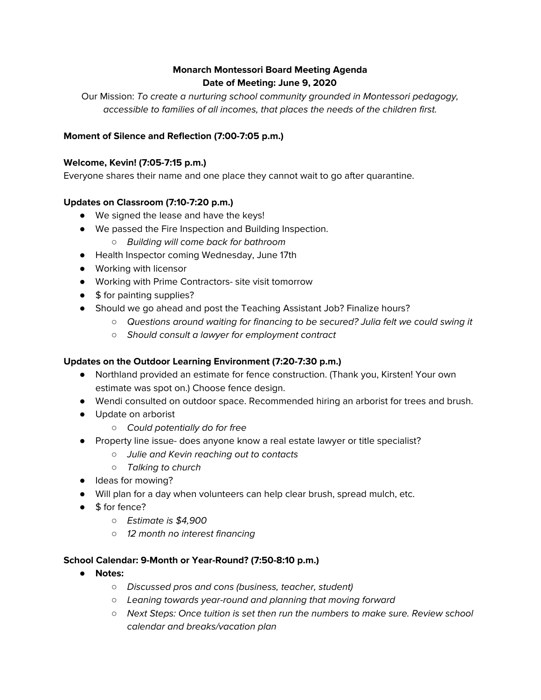# **Monarch Montessori Board Meeting Agenda Date of Meeting: June 9, 2020**

Our Mission: To create a nurturing school community grounded in Montessori pedagogy, accessible to families of all incomes, that places the needs of the children first.

# **Moment of Silence and Reflection (7:00-7:05 p.m.)**

#### **Welcome, Kevin! (7:05-7:15 p.m.)**

Everyone shares their name and one place they cannot wait to go after quarantine.

#### **Updates on Classroom (7:10-7:20 p.m.)**

- We signed the lease and have the keys!
- We passed the Fire Inspection and Building Inspection.
	- *○* Building will come back for bathroom
- Health Inspector coming Wednesday, June 17th
- Working with licensor
- Working with Prime Contractors- site visit tomorrow
- \$ for painting supplies?
- Should we go ahead and post the Teaching Assistant Job? Finalize hours?
	- *○* Questions around waiting for financing to be secured? Julia felt we could swing it
	- *○* Should consult a lawyer for employment contract

#### **Updates on the Outdoor Learning Environment (7:20-7:30 p.m.)**

- Northland provided an estimate for fence construction. (Thank you, Kirsten! Your own estimate was spot on.) Choose fence design.
- Wendi consulted on outdoor space. Recommended hiring an arborist for trees and brush.
- Update on arborist
	- *○* Could potentially do for free
- Property line issue- does anyone know a real estate lawyer or title specialist?
	- *○* Julie and Kevin reaching out to contacts
	- *○* Talking to church
- Ideas for mowing?
- Will plan for a day when volunteers can help clear brush, spread mulch, etc.
- \$ for fence?
	- *○* Estimate is \$4,900
	- *○* 12 month no interest financing

#### **School Calendar: 9-Month or Year-Round? (7:50-8:10 p.m.)**

- **● Notes:**
	- *○* Discussed pros and cons (business, teacher, student)
	- *○* Leaning towards year-round and planning that moving forward
	- *○* Next Steps: Once tuition is set then run the numbers to make sure. Review school calendar and breaks/vacation plan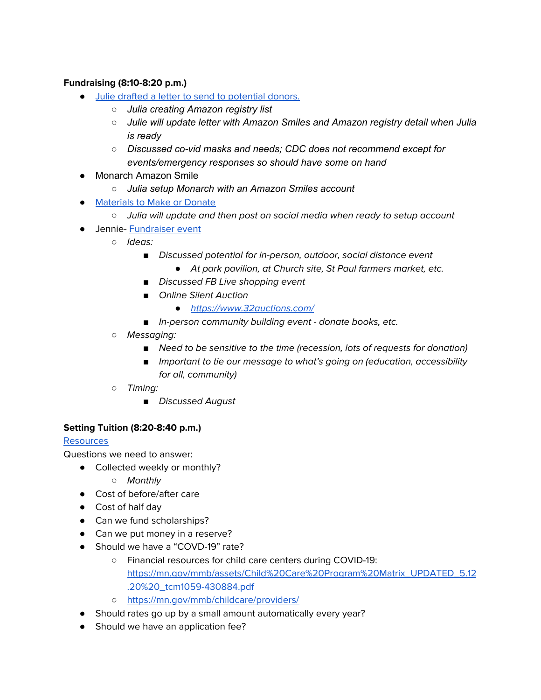# **Fundraising (8:10-8:20 p.m.)**

- Julie drafted a letter to send to [potential](https://drive.google.com/file/d/1KgYeJlRnJmyaMRYOGmhqqVZ54kA8lY9Z/view?usp=sharing) donors.
	- *○ Julia creating Amazon registry list*
	- *○ Julie will update letter with Amazon Smiles and Amazon registry detail when Julia is ready*
	- *○ Discussed co-vid masks and needs; CDC does not recommend except for events/emergency responses so should have some on hand*
- Monarch Amazon Smile
	- *○ Julia setup Monarch with an Amazon Smiles account*
- [Materials](https://docs.google.com/spreadsheets/d/1-qmW3XIgx22XiM4eX33Ji32SKIEcUwdC5oA3SvcHia8/edit?usp=sharing) to Make or Donate
	- *○* Julia will update and then post on social media when ready to setup account
- Jennie- [Fundraiser](https://docs.google.com/spreadsheets/d/1IhrmGc0IzE2p3mk5A3DK0ONLKD8eFxPVlXn35pxvs4s/edit#gid=0) event
	- *○* Ideas:
		- *■* Discussed potential for in-person, outdoor, social distance event
			- *●* At park pavilion, at Church site, St Paul farmers market, etc.
		- *■* Discussed FB Live shopping event
		- *■* Online Silent Auction
			- *●* <https://www.32auctions.com/>
		- *■* In-person community building event donate books, etc.
	- *○* Messaging:
		- Need to be sensitive to the time (recession, lots of requests for donation)
		- *Important to tie our message to what's going on (education, accessibility* for all, community)
	- *○* Timing:
		- *■* Discussed August

# **Setting Tuition (8:20-8:40 p.m.)**

# **[Resources](https://docs.google.com/document/d/1M1Hat_jM0npsqpCAGToxCpsGw2QwyQhAk2isDOB8ChM/edit?usp=sharing)**

Questions we need to answer:

- Collected weekly or monthly?
	- *○* Monthly
- Cost of before/after care
- Cost of half day
- Can we fund scholarships?
- Can we put money in a reserve?
- Should we have a "COVD-19" rate?
	- Financial resources for child care centers during COVID-19: [https://mn.gov/mmb/assets/Child%20Care%20Program%20Matrix\\_UPDATED\\_5.12](https://mn.gov/mmb/assets/Child%20Care%20Program%20Matrix_UPDATED_5.12.20%20_tcm1059-430884.pdf) [.20%20\\_tcm1059-430884.pdf](https://mn.gov/mmb/assets/Child%20Care%20Program%20Matrix_UPDATED_5.12.20%20_tcm1059-430884.pdf)
	- <https://mn.gov/mmb/childcare/providers/>
- Should rates go up by a small amount automatically every year?
- Should we have an application fee?